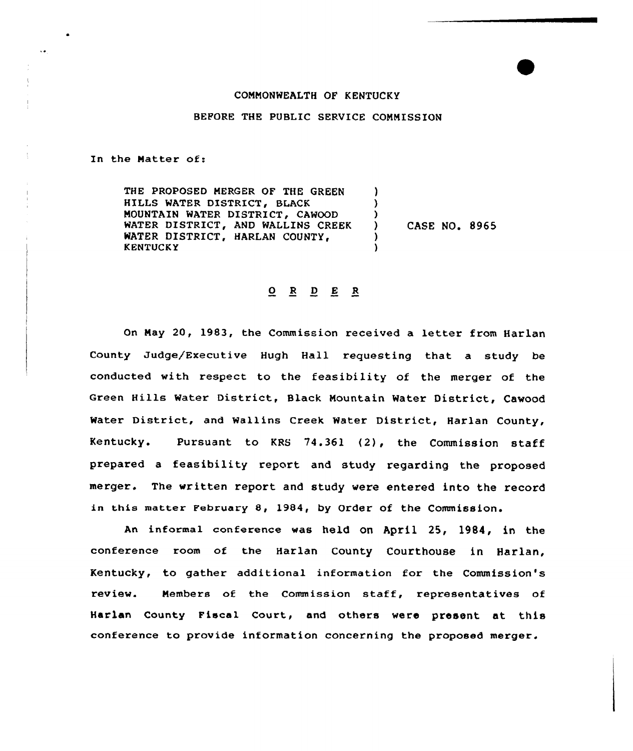## COMMONWEALTH OF KENTUCKY

## BEFORE THE PUBLIC SERVICE COMMISSION

In the Matter of:

 $\ddotsc$ 

THE PROPOSED MERGER OF THE GREEN HILLS WATER DISTRICT, BLACK MOUNTAIN WATER DISTRICT, CAWOOD WATER DISTRICT, AND WALLINS CREEK WATER DISTRICT, HARLAN COUNTY, KENTUCKY ) ) ) ) CASE NO. 8965 ) )

## 0 <sup>R</sup> <sup>D</sup> E <sup>R</sup>

On May 20, 1983, the Commission received a letter from Harlan County Judge/Executive Hugh Hall requesting that a study be conducted with respect to the feasibility of the merger of the Green Hills Water District, Black Mountain Water District, Cawood Water District, and Wallins Creek Water District, Harlan County, Kentucky. Pursuant to KRS 74.361 (2), the Commission staff prepared <sup>a</sup> feasibility report and study regarding the proposed merger. The written report and study were entered into the record in this matter February 8, l984, by order of the Commission.

An informal conference was held on April 25, 1984, in the conference room of the Harlan County Courthouse in Harlan, Kentucky, to gather additional information for the Commission's review. Members of the Commission staff, representatives of Harlan County Fiscal Court, and others were present at this conference to provide information concerning the proposed merger.